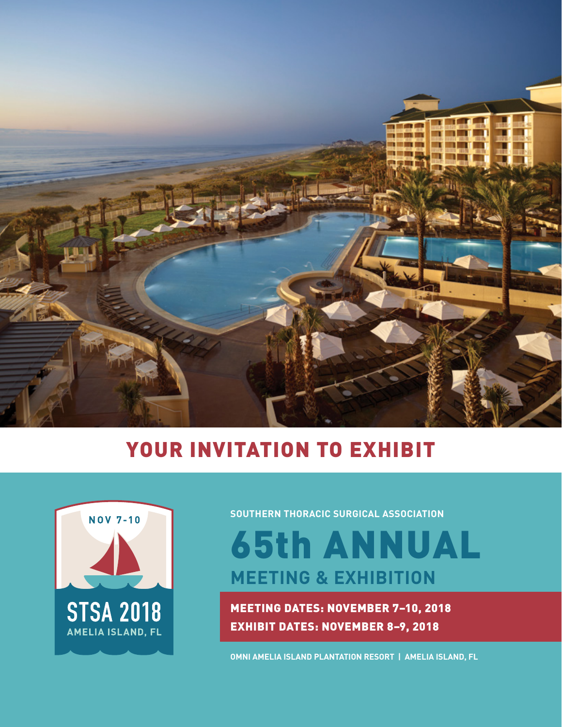

# YOUR INVITATION TO EXHIBIT



**SOUTHERN THORACIC SURGICAL ASSOCIATION** 

65th ANNUAL **MEETING & EXHIBITION**

MEETING DATES: NOVEMBER 7–10, 2018 EXHIBIT DATES: NOVEMBER 8–9, 2018

**OMNI AMELIA ISLAND PLANTATION RESORT | AMELIA ISLAND, FL**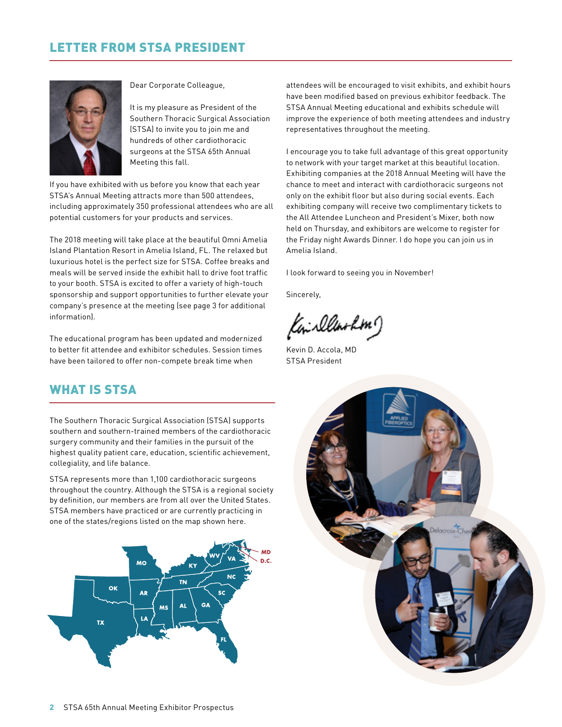## LETTER FROM STSA PRESIDENT



Dear Corporate Colleague,

It is my pleasure as President of the Southern Thoracic Surgical Association (STSA) to invite you to join me and hundreds of other cardiothoracic surgeons at the STSA 65th Annual Meeting this fall.

If you have exhibited with us before you know that each year STSA's Annual Meeting attracts more than 500 attendees, including approximately 350 professional attendees who are all potential customers for your products and services.

The 2018 meeting will take place at the beautiful Omni Amelia Island Plantation Resort in Amelia Island, FL. The relaxed but luxurious hotel is the perfect size for STSA. Coffee breaks and meals will be served inside the exhibit hall to drive foot traffic to your booth. STSA is excited to offer a variety of high-touch sponsorship and support opportunities to further elevate your company's presence at the meeting (see page 3 for additional information).

The educational program has been updated and modernized to better fit attendee and exhibitor schedules. Session times have been tailored to offer non-compete break time when

## WHAT IS STSA

The Southern Thoracic Surgical Association (STSA) supports southern and southern-trained members of the cardiothoracic surgery community and their families in the pursuit of the highest quality patient care, education, scientific achievement, collegiality, and life balance.

STSA represents more than 1,100 cardiothoracic surgeons throughout the country. Although the STSA is a regional society by definition, our members are from all over the United States. STSA members have practiced or are currently practicing in one of the states/regions listed on the map shown here.



attendees will be encouraged to visit exhibits, and exhibit hours have been modified based on previous exhibitor feedback. The STSA Annual Meeting educational and exhibits schedule will improve the experience of both meeting attendees and industry representatives throughout the meeting.

I encourage you to take full advantage of this great opportunity to network with your target market at this beautiful location. Exhibiting companies at the 2018 Annual Meeting will have the chance to meet and interact with cardiothoracic surgeons not only on the exhibit floor but also during social events. Each exhibiting company will receive two complimentary tickets to the All Attendee Luncheon and President's Mixer, both now held on Thursday, and exhibitors are welcome to register for the Friday night Awards Dinner. I do hope you can join us in Amelia Island.

I look forward to seeing you in November!

Sincerely,

Kini illinohm)

Kevin D. Accola, MD STSA President

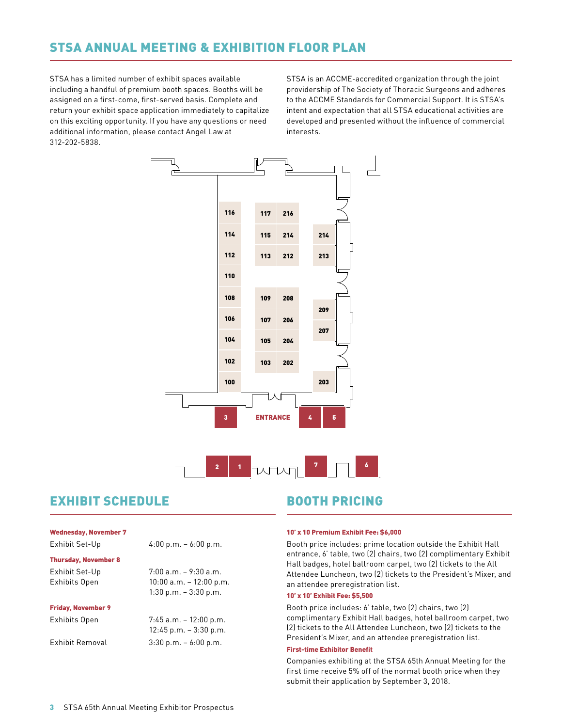## STSA ANNUAL MEETING & EXHIBITION FLOOR PLAN

STSA has a limited number of exhibit spaces available including a handful of premium booth spaces. Booths will be assigned on a first-come, first-served basis. Complete and return your exhibit space application immediately to capitalize on this exciting opportunity. If you have any questions or need additional information, please contact Angel Law at 312-202-5838.

STSA is an ACCME-accredited organization through the joint s will be eargovidership of The Society of Thoracic Surgeons and adheres to the ACCME Standards for Commercial Support. It is STSA's ize intent and expectation that all STSA educational activities are need developed and presented without the influence of commercial interests.<br>Committeests. mere





## EXHIBIT SCHEDULE BOOTH PRICING

#### Wednesday, November 7

#### Thursday, November 8

Friday, November 9

Exhibits Open 7:45 a.m. – 12:00 p.m.

Exhibit Set-Up 4:00 p.m. – 6:00 p.m.

## Exhibit Set-Up 7:00 a.m. – 9:30 a.m.

Exhibits Open 10:00 a.m. – 12:00 p.m. 1:30 p.m. – 3:30 p.m.

12:45 p.m. – 3:30 p.m.

Exhibit Removal 3:30 p.m. – 6:00 p.m.

#### 10' x 10 Premium Exhibit Fee: \$6,000

Booth price includes: prime location outside the Exhibit Hall entrance, 6' table, two (2) chairs, two (2) complimentary Exhibit Hall badges, hotel ballroom carpet, two (2) tickets to the All Attendee Luncheon, two (2) tickets to the President's Mixer, and an attendee preregistration list.

#### 10' x 10' Exhibit Fee: \$5,500

Booth price includes: 6' table, two (2) chairs, two (2) complimentary Exhibit Hall badges, hotel ballroom carpet, two (2) tickets to the All Attendee Luncheon, two (2) tickets to the President's Mixer, and an attendee preregistration list.

#### First-time Exhibitor Benefit

Companies exhibiting at the STSA 65th Annual Meeting for the first time receive 5% off of the normal booth price when they submit their application by September 3, 2018.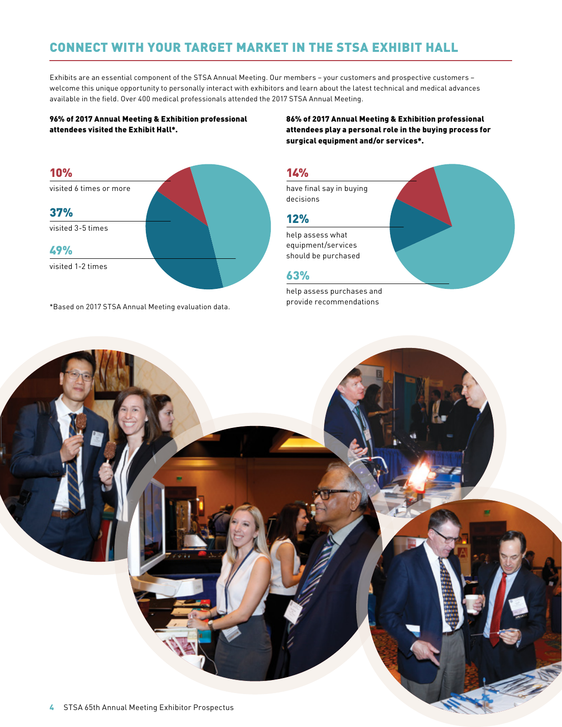## CONNECT WITH YOUR TARGET MARKET IN THE STSA EXHIBIT HALL

Exhibits are an essential component of the STSA Annual Meeting. Our members – your customers and prospective customers – welcome this unique opportunity to personally interact with exhibitors and learn about the latest technical and medical advances available in the field. Over 400 medical professionals attended the 2017 STSA Annual Meeting.

### 96% of 2017 Annual Meeting & Exhibition professional attendees visited the Exhibit Hall\*.

86% of 2017 Annual Meeting & Exhibition professional attendees play a personal role in the buying process for surgical equipment and/or services\*.



\*Based on 2017 STSA Annual Meeting evaluation data.

### 14%

have final say in buying decisions

## 12%

help assess what equipment/services should be purchased

## 63%

help assess purchases and provide recommendations

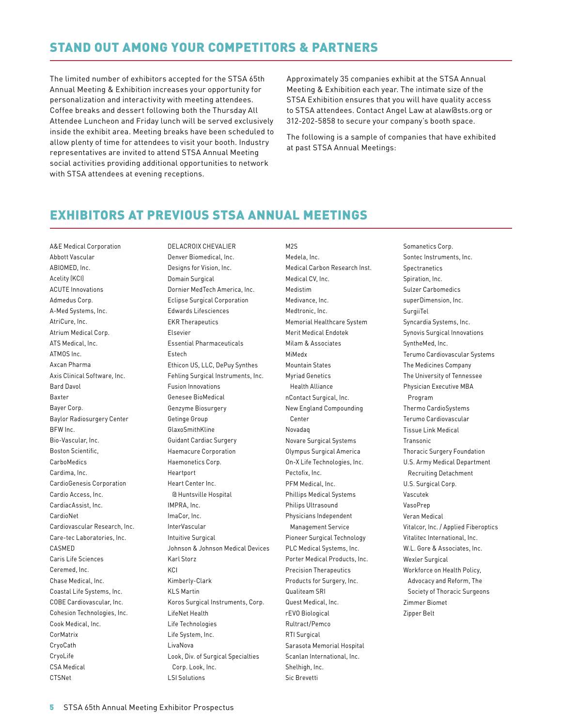## STAND OUT AMONG YOUR COMPETITORS & PARTNERS

The limited number of exhibitors accepted for the STSA 65th Annual Meeting & Exhibition increases your opportunity for personalization and interactivity with meeting attendees. Coffee breaks and dessert following both the Thursday All Attendee Luncheon and Friday lunch will be served exclusively inside the exhibit area. Meeting breaks have been scheduled to allow plenty of time for attendees to visit your booth. Industry representatives are invited to attend STSA Annual Meeting social activities providing additional opportunities to network with STSA attendees at evening receptions.

Approximately 35 companies exhibit at the STSA Annual Meeting & Exhibition each year. The intimate size of the STSA Exhibition ensures that you will have quality access to STSA attendees. Contact Angel Law at alaw@sts.org or 312-202-5858 to secure your company's booth space.

The following is a sample of companies that have exhibited at past STSA Annual Meetings:

## EXHIBITORS AT PREVIOUS STSA ANNUAL MEETINGS

A&E Medical Corporation Abbott Vascular ABIOMED, Inc. Acelity (KCI) ACUTE Innovations Admedus Corp. A-Med Systems, Inc. AtriCure, Inc. Atrium Medical Corp. ATS Medical, Inc. ATMOS Inc. Axcan Pharma Axis Clinical Software, Inc. Bard Davol Baxter Bayer Corp. Baylor Radiosurgery Center BFW Inc. Bio-Vascular, Inc. Boston Scientific, CarboMedics Cardima, Inc. CardioGenesis Corporation Cardio Access, Inc. CardiacAssist, Inc. CardioNet Cardiovascular Research, Inc. Care-tec Laboratories, Inc. CASMED Caris Life Sciences Ceremed, Inc. Chase Medical, Inc. Coastal Life Systems, Inc. COBE Cardiovascular, Inc. Cohesion Technologies, Inc. Cook Medical, Inc. CorMatrix CryoCath CryoLife CSA Medical CTSNet

DELACROIX CHEVALIER Denver Biomedical, Inc. Designs for Vision, Inc. Domain Surgical Dornier MedTech America, Inc. Eclipse Surgical Corporation Edwards Lifesciences EKR Therapeutics Elsevier Essential Pharmaceuticals Estech Ethicon US, LLC, DePuy Synthes Fehling Surgical Instruments, Inc. Fusion Innovations Genesee BioMedical Genzyme Biosurgery Getinge Group GlaxoSmithKline Guidant Cardiac Surgery Haemacure Corporation Haemonetics Corp. Heartport Heart Center Inc. @ Huntsville Hospital IMPRA, Inc. ImaCor, Inc. InterVascular Intuitive Surgical Johnson & Johnson Medical Devices Karl Storz K<sub>CI</sub> Kimberly-Clark KLS Martin Koros Surgical Instruments, Corp. LifeNet Health Life Technologies Life System, Inc. LivaNova Look, Div. of Surgical Specialties Corp. Look, Inc.

M<sub>25</sub> Medela, Inc. Medical Carbon Research Inst. Medical CV, Inc. Medistim Medivance, Inc. Medtronic, Inc. Memorial Healthcare System Merit Medical Endotek Milam & Associates MiMedx Mountain States Myriad Genetics Health Alliance nContact Surgical, Inc. New England Compounding Center Novadaq Novare Surgical Systems Olympus Surgical America On-X Life Technologies, Inc. Pectofix, Inc. PFM Medical, Inc. Phillips Medical Systems Philips Ultrasound Physicians Independent Management Service Pioneer Surgical Technology PLC Medical Systems, Inc. Porter Medical Products, Inc. Precision Therapeutics Products for Surgery, Inc. Qualiteam SRI Quest Medical, Inc. rEVO Biological Rultract/Pemco RTI Surgical Sarasota Memorial Hospital Scanlan International, Inc. Shelhigh, Inc.

Sic Brevetti

Somanetics Corp. Sontec Instruments, Inc. Spectranetics Spiration, Inc. Sulzer Carbomedics superDimension, Inc. SurgiiTel Syncardia Systems, Inc. Synovis Surgical Innovations SyntheMed, Inc. Terumo Cardiovascular Systems The Medicines Company The University of Tennessee Physician Executive MBA Program Thermo CardioSystems Terumo Cardiovascular Tissue Link Medical Transonic Thoracic Surgery Foundation U.S. Army Medical Department Recruiting Detachment U.S. Surgical Corp. Vascutek VasoPrep Veran Medical Vitalcor, Inc. / Applied Fiberoptics Vitalitec International, Inc. W.L. Gore & Associates, Inc. Wexler Surgical Workforce on Health Policy, Advocacy and Reform, The Society of Thoracic Surgeons Zimmer Biomet Zipper Belt

LSI Solutions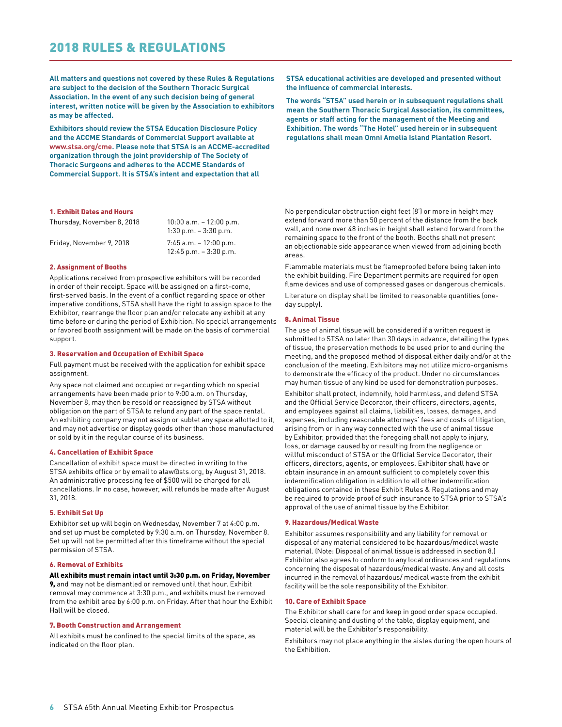**All matters and questions not covered by these Rules & Regulations are subject to the decision of the Southern Thoracic Surgical Association. In the event of any such decision being of general interest, written notice will be given by the Association to exhibitors as may be affected.**

**Exhibitors should review the STSA Education Disclosure Policy and the ACCME Standards of Commercial Support available at [www.stsa.org/cme](http://www.stsa.org/cme). Please note that STSA is an ACCME-accredited organization through the joint providership of The Society of Thoracic Surgeons and adheres to the ACCME Standards of Commercial Support. It is STSA's intent and expectation that all** 

#### 1. Exhibit Dates and Hours

| Thursday, November 8, 2018 | $10:00$ a.m. $-12:00$ p.m.<br>$1:30$ p.m. $-3:30$ p.m. |
|----------------------------|--------------------------------------------------------|
| Friday, November 9, 2018   | $7:45$ a.m. $-12:00$ p.m.<br>$12:45$ p.m. $-3:30$ p.m. |

#### 2. Assignment of Booths

Applications received from prospective exhibitors will be recorded in order of their receipt. Space will be assigned on a first-come, first-served basis. In the event of a conflict regarding space or other imperative conditions, STSA shall have the right to assign space to the Exhibitor, rearrange the floor plan and/or relocate any exhibit at any time before or during the period of Exhibition. No special arrangements or favored booth assignment will be made on the basis of commercial support.

#### 3. Reservation and Occupation of Exhibit Space

Full payment must be received with the application for exhibit space assignment.

Any space not claimed and occupied or regarding which no special arrangements have been made prior to 9:00 a.m. on Thursday, November 8, may then be resold or reassigned by STSA without obligation on the part of STSA to refund any part of the space rental. An exhibiting company may not assign or sublet any space allotted to it, and may not advertise or display goods other than those manufactured or sold by it in the regular course of its business.

#### 4. Cancellation of Exhibit Space

Cancellation of exhibit space must be directed in writing to the STSA exhibits office or by email to alaw@sts.org, by August 31, 2018. An administrative processing fee of \$500 will be charged for all cancellations. In no case, however, will refunds be made after August 31, 2018.

#### 5. Exhibit Set Up

Exhibitor set up will begin on Wednesday, November 7 at 4:00 p.m. and set up must be completed by 9:30 a.m. on Thursday, November 8. Set up will not be permitted after this timeframe without the special permission of STSA.

#### 6. Removal of Exhibits

#### All exhibits must remain intact until 3:30 p.m. on Friday, November

9, and may not be dismantled or removed until that hour. Exhibit removal may commence at 3:30 p.m., and exhibits must be removed from the exhibit area by 6:00 p.m. on Friday. After that hour the Exhibit Hall will be closed.

#### 7. Booth Construction and Arrangement

All exhibits must be confined to the special limits of the space, as indicated on the floor plan.

**STSA educational activities are developed and presented without the influence of commercial interests.** 

**The words "STSA" used herein or in subsequent regulations shall mean the Southern Thoracic Surgical Association, its committees, agents or staff acting for the management of the Meeting and Exhibition. The words "The Hotel" used herein or in subsequent regulations shall mean Omni Amelia Island Plantation Resort.**

No perpendicular obstruction eight feet (8') or more in height may extend forward more than 50 percent of the distance from the back wall, and none over 48 inches in height shall extend forward from the remaining space to the front of the booth. Booths shall not present an objectionable side appearance when viewed from adjoining booth areas.

Flammable materials must be flameproofed before being taken into the exhibit building. Fire Department permits are required for open flame devices and use of compressed gases or dangerous chemicals.

Literature on display shall be limited to reasonable quantities (oneday supply).

#### 8. Animal Tissue

The use of animal tissue will be considered if a written request is submitted to STSA no later than 30 days in advance, detailing the types of tissue, the preservation methods to be used prior to and during the meeting, and the proposed method of disposal either daily and/or at the conclusion of the meeting. Exhibitors may not utilize micro-organisms to demonstrate the efficacy of the product. Under no circumstances may human tissue of any kind be used for demonstration purposes.

Exhibitor shall protect, indemnify, hold harmless, and defend STSA and the Official Service Decorator, their officers, directors, agents, and employees against all claims, liabilities, losses, damages, and expenses, including reasonable attorneys' fees and costs of litigation, arising from or in any way connected with the use of animal tissue by Exhibitor, provided that the foregoing shall not apply to injury, loss, or damage caused by or resulting from the negligence or willful misconduct of STSA or the Official Service Decorator, their officers, directors, agents, or employees. Exhibitor shall have or obtain insurance in an amount sufficient to completely cover this indemnification obligation in addition to all other indemnification obligations contained in these Exhibit Rules & Regulations and may be required to provide proof of such insurance to STSA prior to STSA's approval of the use of animal tissue by the Exhibitor.

#### 9. Hazardous/Medical Waste

Exhibitor assumes responsibility and any liability for removal or disposal of any material considered to be hazardous/medical waste material. (Note: Disposal of animal tissue is addressed in section 8.) Exhibitor also agrees to conform to any local ordinances and regulations concerning the disposal of hazardous/medical waste. Any and all costs incurred in the removal of hazardous/ medical waste from the exhibit facility will be the sole responsibility of the Exhibitor.

#### 10. Care of Exhibit Space

The Exhibitor shall care for and keep in good order space occupied. Special cleaning and dusting of the table, display equipment, and material will be the Exhibitor's responsibility.

Exhibitors may not place anything in the aisles during the open hours of the Exhibition.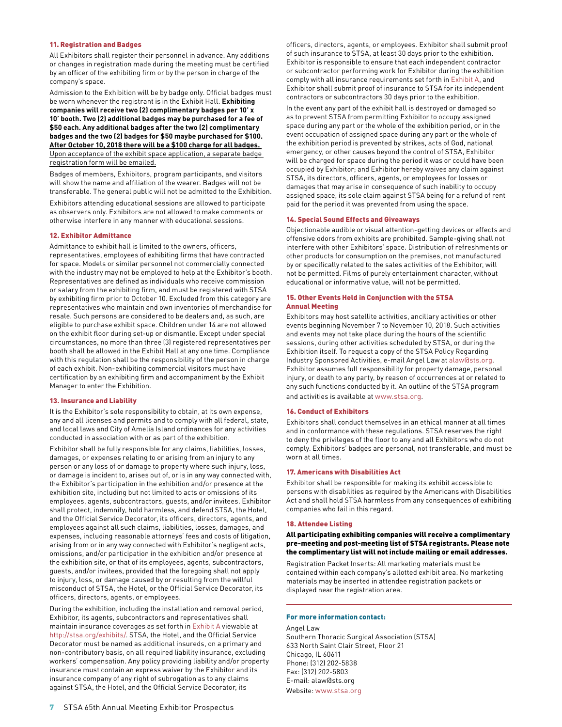#### 11. Registration and Badges

All Exhibitors shall register their personnel in advance. Any additions or changes in registration made during the meeting must be certified by an officer of the exhibiting firm or by the person in charge of the company's space.

Admission to the Exhibition will be by badge only. Official badges must be worn whenever the registrant is in the Exhibit Hall. **Exhibiting companies will receive two (2) complimentary badges per 10' x 10' booth. Two (2) additional badges may be purchased for a fee of \$50 each. Any additional badges after the two (2) complimentary badges and the two (2) badges for \$50 maybe purchased for \$100. After October 10, 2018 there will be a \$100 charge for all badges.**  Upon acceptance of the exhibit space application, a separate badge registration form will be emailed.

Badges of members, Exhibitors, program participants, and visitors will show the name and affiliation of the wearer. Badges will not be transferable. The general public will not be admitted to the Exhibition.

Exhibitors attending educational sessions are allowed to participate as observers only. Exhibitors are not allowed to make comments or otherwise interfere in any manner with educational sessions.

#### 12. Exhibitor Admittance

Admittance to exhibit hall is limited to the owners, officers, representatives, employees of exhibiting firms that have contracted for space. Models or similar personnel not commercially connected with the industry may not be employed to help at the Exhibitor's booth. Representatives are defined as individuals who receive commission or salary from the exhibiting firm, and must be registered with STSA by exhibiting firm prior to October 10. Excluded from this category are representatives who maintain and own inventories of merchandise for resale. Such persons are considered to be dealers and, as such, are eligible to purchase exhibit space. Children under 14 are not allowed on the exhibit floor during set-up or dismantle. Except under special circumstances, no more than three (3) registered representatives per booth shall be allowed in the Exhibit Hall at any one time. Compliance with this regulation shall be the responsibility of the person in charge of each exhibit. Non-exhibiting commercial visitors must have certification by an exhibiting firm and accompaniment by the Exhibit Manager to enter the Exhibition.

#### 13. Insurance and Liability

It is the Exhibitor's sole responsibility to obtain, at its own expense, any and all licenses and permits and to comply with all federal, state, and local laws and City of Amelia Island ordinances for any activities conducted in association with or as part of the exhibition.

Exhibitor shall be fully responsible for any claims, liabilities, losses, damages, or expenses relating to or arising from an injury to any person or any loss of or damage to property where such injury, loss, or damage is incident to, arises out of, or is in any way connected with, the Exhibitor's participation in the exhibition and/or presence at the exhibition site, including but not limited to acts or omissions of its employees, agents, subcontractors, guests, and/or invitees. Exhibitor shall protect, indemnify, hold harmless, and defend STSA, the Hotel, and the Official Service Decorator, its officers, directors, agents, and employees against all such claims, liabilities, losses, damages, and expenses, including reasonable attorneys' fees and costs of litigation, arising from or in any way connected with Exhibitor's negligent acts, omissions, and/or participation in the exhibition and/or presence at the exhibition site, or that of its employees, agents, subcontractors, guests, and/or invitees, provided that the foregoing shall not apply to injury, loss, or damage caused by or resulting from the willful misconduct of STSA, the Hotel, or the Official Service Decorator, its officers, directors, agents, or employees.

During the exhibition, including the installation and removal period, Exhibitor, its agents, subcontractors and representatives shall maintain insurance coverages as set forth in [Exhibit A](http://stsa.org/wp-content/uploads/2015/05/2017-STSA-Exhibit-A.Insurance-Requirements.pdf) viewable at <http://stsa.org/exhibits/>. STSA, the Hotel, and the Official Service Decorator must be named as additional insureds, on a primary and non-contributory basis, on all required liability insurance, excluding workers' compensation. Any policy providing liability and/or property insurance must contain an express waiver by the Exhibitor and its insurance company of any right of subrogation as to any claims against STSA, the Hotel, and the Official Service Decorator, its

officers, directors, agents, or employees. Exhibitor shall submit proof of such insurance to STSA, at least 30 days prior to the exhibition. Exhibitor is responsible to ensure that each independent contractor or subcontractor performing work for Exhibitor during the exhibition comply with all insurance requirements set forth in [Exhibit A](http://stsa.org/wp-content/uploads/2015/05/2017-STSA-Exhibit-A.Insurance-Requirements.pdf), and Exhibitor shall submit proof of insurance to STSA for its independent contractors or subcontractors 30 days prior to the exhibition.

In the event any part of the exhibit hall is destroyed or damaged so as to prevent STSA from permitting Exhibitor to occupy assigned space during any part or the whole of the exhibition period, or in the event occupation of assigned space during any part or the whole of the exhibition period is prevented by strikes, acts of God, national emergency, or other causes beyond the control of STSA, Exhibitor will be charged for space during the period it was or could have been occupied by Exhibitor; and Exhibitor hereby waives any claim against STSA, its directors, officers, agents, or employees for losses or damages that may arise in consequence of such inability to occupy assigned space, its sole claim against STSA being for a refund of rent paid for the period it was prevented from using the space.

#### 14. Special Sound Effects and Giveaways

Objectionable audible or visual attention-getting devices or effects and offensive odors from exhibits are prohibited. Sample-giving shall not interfere with other Exhibitors' space. Distribution of refreshments or other products for consumption on the premises, not manufactured by or specifically related to the sales activities of the Exhibitor, will not be permitted. Films of purely entertainment character, without educational or informative value, will not be permitted.

#### 15. Other Events Held in Conjunction with the STSA Annual Meeting

Exhibitors may host satellite activities, ancillary activities or other events beginning November 7 to November 10, 2018. Such activities and events may not take place during the hours of the scientific sessions, during other activities scheduled by STSA, or during the Exhibition itself. To request a copy of the STSA Policy Regarding Industry Sponsored Activities, e-mail Angel Law at [alaw@sts.org.](mailto:alaw%40sts.org?subject=) Exhibitor assumes full responsibility for property damage, personal injury, or death to any party, by reason of occurrences at or related to any such functions conducted by it. An outline of the STSA program and activities is available at [www.stsa.org](http://www.stsa.org).

#### 16. Conduct of Exhibitors

Exhibitors shall conduct themselves in an ethical manner at all times and in conformance with these regulations. STSA reserves the right to deny the privileges of the floor to any and all Exhibitors who do not comply. Exhibitors' badges are personal, not transferable, and must be worn at all times.

#### 17. Americans with Disabilities Act

Exhibitor shall be responsible for making its exhibit accessible to persons with disabilities as required by the Americans with Disabilities Act and shall hold STSA harmless from any consequences of exhibiting companies who fail in this regard.

#### 18. Attendee Listing

All participating exhibiting companies will receive a complimentary pre-meeting and post-meeting list of STSA registrants. Please note the complimentary list will not include mailing or email addresses.

Registration Packet Inserts: All marketing materials must be contained within each company's allotted exhibit area. No marketing materials may be inserted in attendee registration packets or displayed near the registration area.

#### For more information contact:

Angel Law Southern Thoracic Surgical Association (STSA) 633 North Saint Clair Street, Floor 21 Chicago, IL 60611 Phone: (312) 202-5838 Fax: (312) 202-5803 E-mail: alaw@sts.org Website: [www.stsa.org](http://stsa.org/)